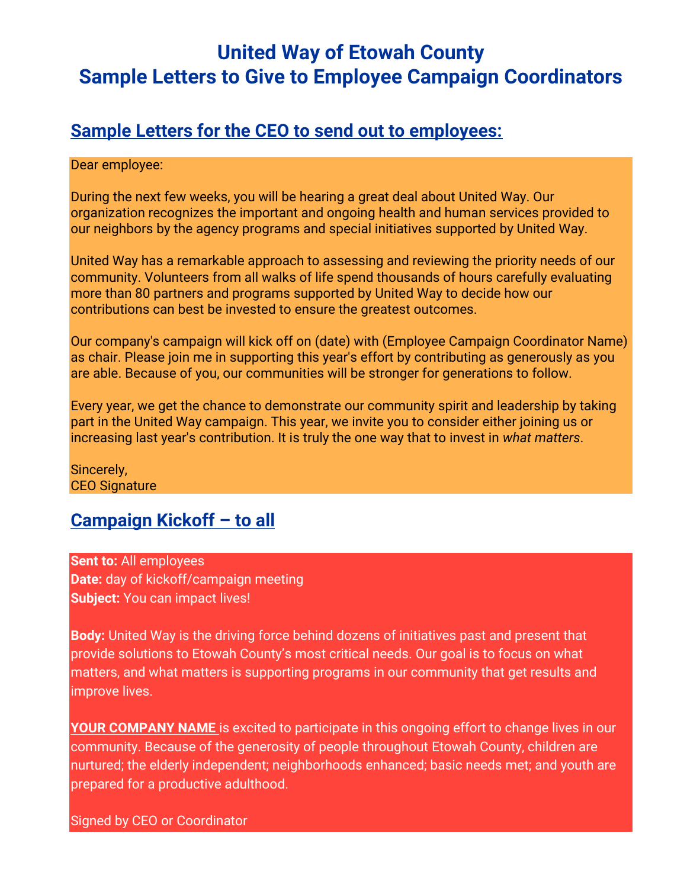# **United Way of Etowah County Sample Letters to Give to Employee Campaign Coordinators**

# **Sample Letters for the CEO to send out to employees:**

#### Dear employee:

During the next few weeks, you will be hearing a great deal about United Way. Our organization recognizes the important and ongoing health and human services provided to our neighbors by the agency programs and special initiatives supported by United Way.

United Way has a remarkable approach to assessing and reviewing the priority needs of our community. Volunteers from all walks of life spend thousands of hours carefully evaluating more than 80 partners and programs supported by United Way to decide how our contributions can best be invested to ensure the greatest outcomes.

Our company's campaign will kick off on (date) with (Employee Campaign Coordinator Name) as chair. Please join me in supporting this year's effort by contributing as generously as you are able. Because of you, our communities will be stronger for generations to follow.

Every year, we get the chance to demonstrate our community spirit and leadership by taking part in the United Way campaign. This year, we invite you to consider either joining us or increasing last year's contribution. It is truly the one way that to invest in *what matters*.

Sincerely, CEO Signature

## **Campaign Kickoff – to all**

**Sent to:** All employees **Date:** day of kickoff/campaign meeting **Subject: You can impact lives!** 

**Body:** United Way is the driving force behind dozens of initiatives past and present that provide solutions to Etowah County's most critical needs. Our goal is to focus on what matters, and what matters is supporting programs in our community that get results and improve lives.

**YOUR COMPANY NAME** is excited to participate in this ongoing effort to change lives in our community. Because of the generosity of people throughout Etowah County, children are nurtured; the elderly independent; neighborhoods enhanced; basic needs met; and youth are prepared for a productive adulthood.

Signed by CEO or Coordinator